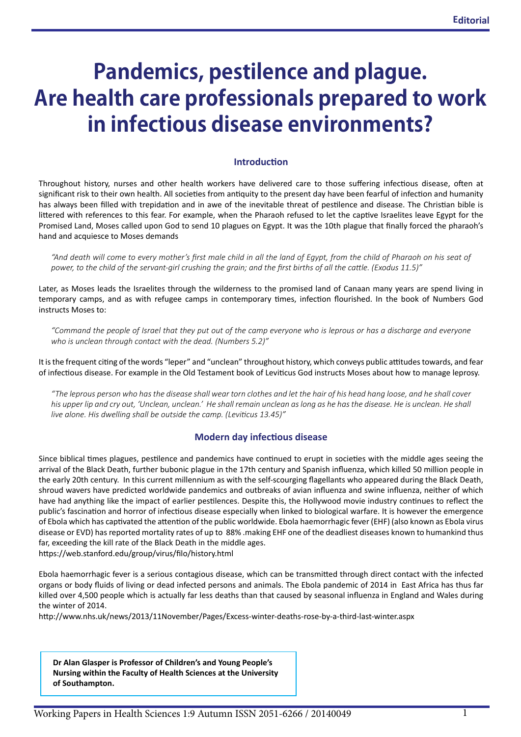# **Pandemics, pestilence and plague. Are health care professionals prepared to work in infectious disease environments?**

#### **Introduction**

Throughout history, nurses and other health workers have delivered care to those suffering infectious disease, often at significant risk to their own health. All societies from antiquity to the present day have been fearful of infection and humanity has always been filled with trepidation and in awe of the inevitable threat of pestilence and disease. The Christian bible is littered with references to this fear. For example, when the Pharaoh refused to let the captive Israelites leave Egypt for the Promised Land, Moses called upon God to send 10 plagues on Egypt. It was the 10th plague that finally forced the pharaoh's hand and acquiesce to Moses demands

*"And death will come to every mother's first male child in all the land of Egypt, from the child of Pharaoh on his seat of power, to the child of the servant-girl crushing the grain; and the first births of all the cattle. (Exodus 11.5)"*

Later, as Moses leads the Israelites through the wilderness to the promised land of Canaan many years are spend living in temporary camps, and as with refugee camps in contemporary times, infection flourished. In the book of Numbers God instructs Moses to:

*"Command the people of Israel that they put out of the camp everyone who is leprous or has a discharge and everyone who is unclean through contact with the dead. (Numbers 5.2)"* 

It is the frequent citing of the words "leper" and "unclean" throughout history, which conveys public attitudes towards, and fear of infectious disease. For example in the Old Testament book of Leviticus God instructs Moses about how to manage leprosy.

*"The leprous person who has the disease shall wear torn clothes and let the hair of his head hang loose, and he shall cover his upper lip and cry out, 'Unclean, unclean.' He shall remain unclean as long as he has the disease. He is unclean. He shall live alone. His dwelling shall be outside the camp. (Leviticus 13.45)"*

#### **Modern day infectious disease**

Since biblical times plagues, pestilence and pandemics have continued to erupt in societies with the middle ages seeing the arrival of the Black Death, further bubonic plague in the 17th century and Spanish influenza, which killed 50 million people in the early 20th century. In this current millennium as with the self-scourging flagellants who appeared during the Black Death, shroud wavers have predicted worldwide pandemics and outbreaks of avian influenza and swine influenza, neither of which have had anything like the impact of earlier pestilences. Despite this, the Hollywood movie industry continues to reflect the public's fascination and horror of infectious disease especially when linked to biological warfare. It is however the emergence of Ebola which has captivated the attention of the public worldwide. Ebola haemorrhagic fever (EHF) (also known as Ebola virus disease or EVD) has reported mortality rates of up to 88% .making EHF one of the deadliest diseases known to humankind thus far, exceeding the kill rate of the Black Death in the middle ages.

<https://web.stanford.edu/group/virus/filo/history.html>

Ebola haemorrhagic fever is a serious contagious disease, which can be transmitted through direct contact with the infected organs or body fluids of living or dead infected persons and animals. The Ebola pandemic of 2014 in East Africa has thus far killed over 4,500 people which is actually far less deaths than that caused by seasonal influenza in England and Wales during the winter of 2014.

<http://www.nhs.uk/news/2013/11November/Pages/Excess-winter-deaths-rose-by-a-third-last-winter.aspx>

**Dr Alan Glasper is Professor of Children's and Young People's Nursing within the Faculty of Health Sciences at the University of Southampton.**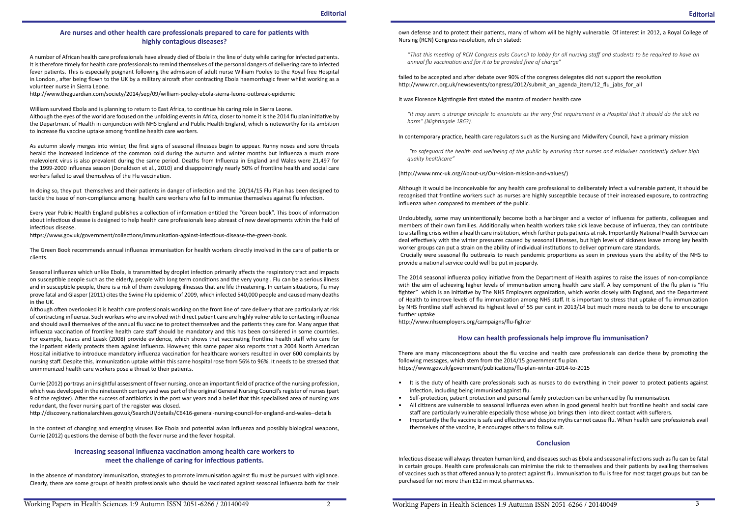#### **Are nurses and other health care professionals prepared to care for patients with highly contagious diseases?**

A number of African health care professionals have already died of Ebola in the line of duty while caring for infected patients. It is therefore timely for health care professionals to remind themselves of the personal dangers of delivering care to infected fever patients. This is especially poignant following the admission of adult nurse William Pooley to the Royal free Hospital in London , after being flown to the UK by a military aircraft after contracting Ebola haemorrhagic fever whilst working as a volunteer nurse in Sierra Leone.

[http://www.theguardian.com/society/2014/sep/09/william-](http://www.theguardian.com/society/2014/sep/09/william)pooley-ebola-sierra-leone-outbreak-epidemic

William survived Ebola and is planning to return to East Africa, to continue his caring role in Sierra Leone. Although the eyes of the world are focused on the unfolding events in Africa, closer to home it is the 2014 flu plan initiative by the Department of Health in conjunction with NHS England and Public Health England, which is noteworthy for its ambition to Increase flu vaccine uptake among frontline health care workers.

As autumn slowly merges into winter, the first signs of seasonal illnesses begin to appear. Runny noses and sore throats herald the increased incidence of the common cold during the autumn and winter months but Influenza a much more malevolent virus is also prevalent during the same period. Deaths from Influenza in England and Wales were 21,497 for the 1999-2000 influenza season (Donaldson et al., 2010) and disappointingly nearly 50% of frontline health and social care workers failed to avail themselves of the Flu vaccination.

In doing so, they put themselves and their patients in danger of infection and the 20/14/15 Flu Plan has been designed to tackle the issue of non-compliance among health care workers who fail to immunise themselves against flu infection.

Every year Public Health England publishes a collection of information entitled the "Green book". This book of information about infectious disease is designed to help health care professionals keep abreast of new developments within the field of infectious disease.

<https://www.gov.uk/government/collections/immunisation>-against-infectious-disease-the-green-book.

The Green Book recommends annual influenza immunisation for health workers directly involved in the care of patients or clients.

Seasonal influenza which unlike Ebola, is transmitted by droplet infection primarily affects the respiratory tract and impacts on susceptible people such as the elderly, people with long term conditions and the very young . Flu can be a serious illness and in susceptible people, there is a risk of them developing illnesses that are life threatening. In certain situations, flu may prove fatal and Glasper (2011) cites the Swine Flu epidemic of 2009, which infected 540,000 people and caused many deaths in the UK.

Although often overlooked it is health care professionals working on the front line of care delivery that are particularly at risk of contracting influenza. Such workers who are involved with direct patient care are highly vulnerable to contacting influenza and should avail themselves of the annual flu vaccine to protect themselves and the patients they care for. Many argue that influenza vaccination of frontline health care staff should be mandatory and this has been considered in some countries. For example, Isaacs and Leask (2008) provide evidence, which shows that vaccinating frontline health staff who care for the inpatient elderly protects them against influenza. However, this same paper also reports that a 2004 North American Hospital initiative to introduce mandatory influenza vaccination for healthcare workers resulted in over 600 complaints by nursing staff. Despite this, immunization uptake within this same hospital rose from 56% to 96%. It needs to be stressed that unimmunized health care workers pose a threat to their patients.

Currie (2012) portrays an insightful assessment of fever nursing, once an important field of practice of the nursing profession, which was developed in the nineteenth century and was part of the original General Nursing Council's register of nurses (part 9 of the register). After the success of antibiotics in the post war years and a belief that this specialised area of nursing was redundant, the fever nursing part of the register was closed.

<http://discovery.nationalarchives.gov.uk/SearchUI/details/C6416>-general-nursing-council-for-england-and-wales--details

In the context of changing and emerging viruses like Ebola and potential avian influenza and possibly biological weapons, Currie (2012) questions the demise of both the fever nurse and the fever hospital.

# **Increasing seasonal influenza vaccination among health care workers to meet the challenge of caring for infectious patients.**

In the absence of mandatory immunisation, strategies to promote immunisation against flu must be pursued with vigilance. Clearly, there are some groups of health professionals who should be vaccinated against seasonal influenza both for their own defense and to protect their patients, many of whom will be highly vulnerable. Of interest in 2012, a Royal College of

Nursing (RCN) Congress resolution, which stated:

*"That this meeting of RCN Congress asks Council to lobby for all nursing staff and students to be required to have an annual flu vaccination and for it to be provided free of charge"*

failed to be accepted and after debate over 90% of the congress delegates did not support the resolution [http://www.rcn.org.uk/newsevents/congress/2012/submit\\_an\\_agenda\\_item/12\\_flu\\_jabs\\_for\\_all](http://www.rcn.org.uk/newsevents/congress/2012/submit_an_agenda_item/12_flu_jabs_for_all)

It was Florence Nightingale first stated the mantra of modern health care

*"It may seem a strange principle to enunciate as the very first requirement in a Hospital that it should do the sick no harm" (Nightingale 1863).* 

In contemporary practice, health care regulators such as the Nursing and Midwifery Council, have a primary mission

 *"to safeguard the health and wellbeing of the public by ensuring that nurses and midwives consistently deliver high quality healthcare"*

(<http://www.nmc-uk.org/About-us/Our>-vision-mission-and-values/)

Although it would be inconceivable for any health care professional to deliberately infect a vulnerable patient, it should be recognised that frontline workers such as nurses are highly susceptible because of their increased exposure, to contracting influenza when compared to members of the public.

Undoubtedly, some may unintentionally become both a harbinger and a vector of influenza for patients, colleagues and members of their own families. Additionally when health workers take sick leave because of influenza, they can contribute to a staffing crisis within a health care institution, which further puts patients at risk. Importantly National Health Service can deal effectively with the winter pressures caused by seasonal illnesses, but high levels of sickness leave among key health worker groups can put a strain on the ability of individual institutions to deliver optimum care standards. Crucially were seasonal flu outbreaks to reach pandemic proportions as seen in previous years the ability of the NHS to provide a national service could well be put in jeopardy.

The 2014 seasonal influenza policy initiative from the Department of Health aspires to raise the issues of non-compliance with the aim of achieving higher levels of immunisation among health care staff. A key component of the flu plan is "Flu fighter" which is an initiative by The NHS Employers organization, which works closely with England, and the Department of Health to improve levels of flu immunization among NHS staff. It is important to stress that uptake of flu immunization by NHS frontline staff achieved its highest level of 55 per cent in 2013/14 but much more needs to be done to encourage further uptake

[http://www.nhsemployers.org/campaigns/flu-](http://www.nhsemployers.org/campaigns/flu)fighter

# **How can health professionals help improve flu immunisation?**

There are many misconceptions about the flu vaccine and health care professionals can deride these by promoting the following messages, which stem from the 2014/15 government flu plan. [https://www.gov.uk/government/publications/flu-](https://www.gov.uk/government/publications/flu)plan-winter-2014-to-2015

• It is the duty of health care professionals such as nurses to do everything in their power to protect patients against

• All citizens are vulnerable to seasonal influenza even when in good general health but frontline health and social care

- infection, including being immunised against flu.
- Self-protection, patient protection and personal family protection can be enhanced by flu immunisation.
- staff are particularly vulnerable especially those whose job brings then into direct contact with sufferers.
- themselves of the vaccine, it encourages others to follow suit.

• Importantly the flu vaccine is safe and effective and despite myths cannot cause flu. When health care professionals avail

# **Conclusion**

Infectious disease will always threaten human kind, and diseases such as Ebola and seasonal infections such as flu can be fatal in certain groups. Health care professionals can minimise the risk to themselves and their patients by availing themselves of vaccines such as that offered annually to protect against flu. Immunisation to flu is free for most target groups but can be purchased for not more than £12 in most pharmacies.